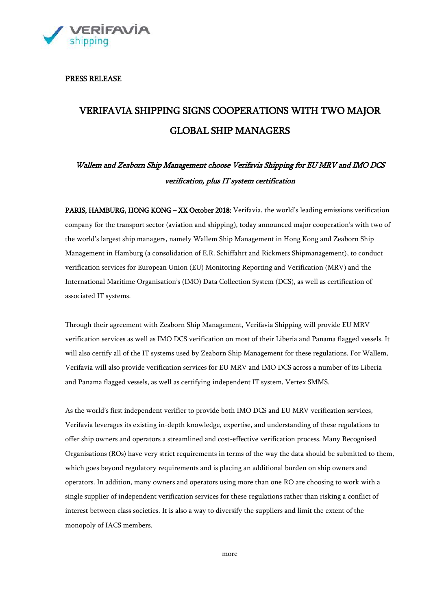

PRESS RELEASE

# VERIFAVIA SHIPPING SIGNS COOPERATIONS WITH TWO MAJOR GLOBAL SHIP MANAGERS

# Wallem and Zeaborn Ship Management choose Verifavia Shipping for EU MRV and IMO DCS verification, plus IT system certification

PARIS, HAMBURG, HONG KONG – XX October 2018: Verifavia, the world's leading emissions verification company for the transport sector (aviation and shipping), today announced major cooperation's with two of the world's largest ship managers, namely Wallem Ship Management in Hong Kong and Zeaborn Ship Management in Hamburg (a consolidation of E.R. Schiffahrt and Rickmers Shipmanagement), to conduct verification services for European Union (EU) Monitoring Reporting and Verification (MRV) and the International Maritime Organisation's (IMO) Data Collection System (DCS), as well as certification of associated IT systems.

Through their agreement with Zeaborn Ship Management, Verifavia Shipping will provide EU MRV verification services as well as IMO DCS verification on most of their Liberia and Panama flagged vessels. It will also certify all of the IT systems used by Zeaborn Ship Management for these regulations. For Wallem, Verifavia will also provide verification services for EU MRV and IMO DCS across a number of its Liberia and Panama flagged vessels, as well as certifying independent IT system, Vertex SMMS.

As the world's first independent verifier to provide both IMO DCS and EU MRV verification services, Verifavia leverages its existing in-depth knowledge, expertise, and understanding of these regulations to offer ship owners and operators a streamlined and cost-effective verification process. Many Recognised Organisations (ROs) have very strict requirements in terms of the way the data should be submitted to them, which goes beyond regulatory requirements and is placing an additional burden on ship owners and operators. In addition, many owners and operators using more than one RO are choosing to work with a single supplier of independent verification services for these regulations rather than risking a conflict of interest between class societies. It is also a way to diversify the suppliers and limit the extent of the monopoly of IACS members.

-more-